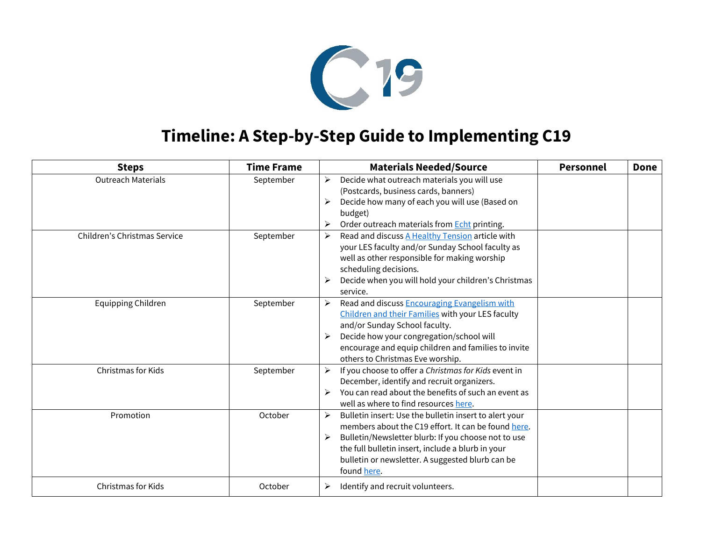

## **Timeline: A Step-by-Step Guide to Implementing C19**

| <b>Steps</b>                 | <b>Time Frame</b> | <b>Materials Needed/Source</b>                                                                                                                                                                                                                                                                                             | <b>Personnel</b> | <b>Done</b> |
|------------------------------|-------------------|----------------------------------------------------------------------------------------------------------------------------------------------------------------------------------------------------------------------------------------------------------------------------------------------------------------------------|------------------|-------------|
| <b>Outreach Materials</b>    | September         | Decide what outreach materials you will use<br>$\blacktriangleright$<br>(Postcards, business cards, banners)<br>Decide how many of each you will use (Based on<br>➤<br>budget)<br>Order outreach materials from Echt printing.                                                                                             |                  |             |
| Children's Christmas Service | September         | Read and discuss A Healthy Tension article with<br>➤<br>your LES faculty and/or Sunday School faculty as<br>well as other responsible for making worship<br>scheduling decisions.<br>Decide when you will hold your children's Christmas<br>service.                                                                       |                  |             |
| <b>Equipping Children</b>    | September         | Read and discuss <b>Encouraging Evangelism with</b><br>➤<br>Children and their Families with your LES faculty<br>and/or Sunday School faculty.<br>Decide how your congregation/school will<br>encourage and equip children and families to invite<br>others to Christmas Eve worship.                                      |                  |             |
| Christmas for Kids           | September         | If you choose to offer a Christmas for Kids event in<br>➤<br>December, identify and recruit organizers.<br>You can read about the benefits of such an event as<br>➤<br>well as where to find resources here.                                                                                                               |                  |             |
| Promotion                    | October           | Bulletin insert: Use the bulletin insert to alert your<br>$\blacktriangleright$<br>members about the C19 effort. It can be found here.<br>Bulletin/Newsletter blurb: If you choose not to use<br>➤<br>the full bulletin insert, include a blurb in your<br>bulletin or newsletter. A suggested blurb can be<br>found here. |                  |             |
| Christmas for Kids           | October           | Identify and recruit volunteers.<br>➤                                                                                                                                                                                                                                                                                      |                  |             |